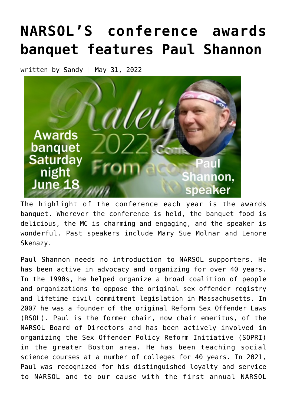## **[NARSOL'S conference awards](https://narsol.org/2022/05/narsols-conference-awards-banquet-features-paul-shannon/) [banquet features Paul Shannon](https://narsol.org/2022/05/narsols-conference-awards-banquet-features-paul-shannon/)**

written by Sandy | May 31, 2022



The highlight of the conference each year is the awards banquet. Wherever the conference is held, the banquet food is delicious, the MC is charming and engaging, and the speaker is wonderful. Past speakers include Mary Sue Molnar and Lenore Skenazy.

Paul Shannon needs no introduction to NARSOL supporters. He has been active in advocacy and organizing for over 40 years. In the 1990s, he helped organize a broad coalition of people and organizations to oppose the original sex offender registry and lifetime civil commitment legislation in Massachusetts. In 2007 he was a founder of the original Reform Sex Offender Laws (RSOL). Paul is the former chair, now chair emeritus, of the NARSOL Board of Directors and has been actively involved in organizing the Sex Offender Policy Reform Initiative (SOPRI) in the greater Boston area. He has been teaching social science courses at a number of colleges for 40 years. In 2021, Paul was recognized for his distinguished loyalty and service to NARSOL and to our cause with the first annual NARSOL